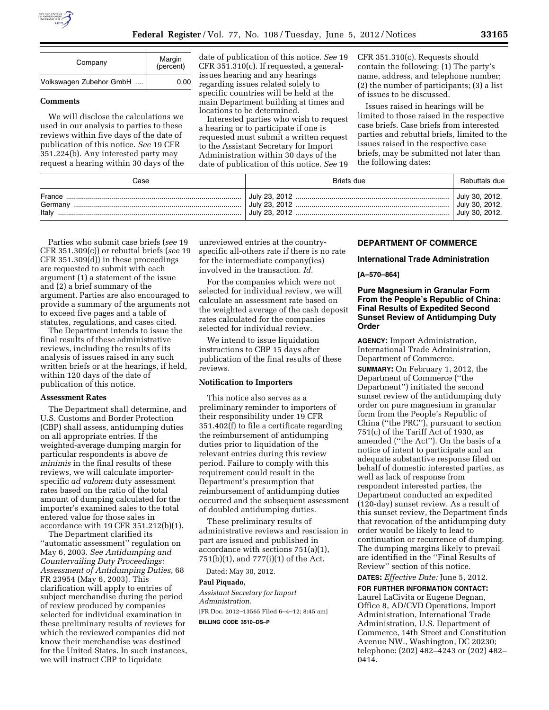

| Company                 | Margin<br>(percent) |
|-------------------------|---------------------|
| Volkswagen Zubehor GmbH | 0.00                |

## **Comments**

We will disclose the calculations we used in our analysis to parties to these reviews within five days of the date of publication of this notice. *See* 19 CFR 351.224(b). Any interested party may request a hearing within 30 days of the date of publication of this notice. *See* 19 CFR 351.310(c). If requested, a generalissues hearing and any hearings regarding issues related solely to specific countries will be held at the main Department building at times and locations to be determined.

Interested parties who wish to request a hearing or to participate if one is requested must submit a written request to the Assistant Secretary for Import Administration within 30 days of the date of publication of this notice. *See* 19 CFR 351.310(c). Requests should contain the following: (1) The party's name, address, and telephone number; (2) the number of participants; (3) a list of issues to be discussed.

Issues raised in hearings will be limited to those raised in the respective case briefs. Case briefs from interested parties and rebuttal briefs, limited to the issues raised in the respective case briefs, may be submitted not later than the following dates:

| Case                       | Briefs due | Rebuttals due                                      |
|----------------------------|------------|----------------------------------------------------|
| France<br>Germany<br>Italv |            | July 30, 2012.<br>July 30, 2012.<br>July 30, 2012. |

Parties who submit case briefs (*see* 19 CFR 351.309(c)) or rebuttal briefs (*see* 19 CFR 351.309(d)) in these proceedings are requested to submit with each argument (1) a statement of the issue and (2) a brief summary of the argument. Parties are also encouraged to provide a summary of the arguments not to exceed five pages and a table of statutes, regulations, and cases cited.

The Department intends to issue the final results of these administrative reviews, including the results of its analysis of issues raised in any such written briefs or at the hearings, if held, within 120 days of the date of publication of this notice.

#### **Assessment Rates**

The Department shall determine, and U.S. Customs and Border Protection (CBP) shall assess, antidumping duties on all appropriate entries. If the weighted-average dumping margin for particular respondents is above *de minimis* in the final results of these reviews, we will calculate importerspecific *ad valorem* duty assessment rates based on the ratio of the total amount of dumping calculated for the importer's examined sales to the total entered value for those sales in accordance with 19 CFR 351.212(b)(1).

The Department clarified its ''automatic assessment'' regulation on May 6, 2003. *See Antidumping and Countervailing Duty Proceedings: Assessment of Antidumping Duties,* 68 FR 23954 (May 6, 2003). This clarification will apply to entries of subject merchandise during the period of review produced by companies selected for individual examination in these preliminary results of reviews for which the reviewed companies did not know their merchandise was destined for the United States. In such instances, we will instruct CBP to liquidate

unreviewed entries at the countryspecific all-others rate if there is no rate for the intermediate company(ies) involved in the transaction. *Id.* 

For the companies which were not selected for individual review, we will calculate an assessment rate based on the weighted average of the cash deposit rates calculated for the companies selected for individual review.

We intend to issue liquidation instructions to CBP 15 days after publication of the final results of these reviews.

## **Notification to Importers**

This notice also serves as a preliminary reminder to importers of their responsibility under 19 CFR 351.402(f) to file a certificate regarding the reimbursement of antidumping duties prior to liquidation of the relevant entries during this review period. Failure to comply with this requirement could result in the Department's presumption that reimbursement of antidumping duties occurred and the subsequent assessment of doubled antidumping duties.

These preliminary results of administrative reviews and rescission in part are issued and published in accordance with sections 751(a)(1), 751(b)(1), and 777(i)(1) of the Act.

Dated: May 30, 2012.

## **Paul Piquado,**

*Assistant Secretary for Import Administration.*  [FR Doc. 2012–13565 Filed 6–4–12; 8:45 am]

**BILLING CODE 3510–DS–P** 

### **DEPARTMENT OF COMMERCE**

**International Trade Administration** 

## **[A–570–864]**

## **Pure Magnesium in Granular Form From the People's Republic of China: Final Results of Expedited Second Sunset Review of Antidumping Duty Order**

**AGENCY:** Import Administration, International Trade Administration, Department of Commerce.

**SUMMARY:** On February 1, 2012, the Department of Commerce (''the Department'') initiated the second sunset review of the antidumping duty order on pure magnesium in granular form from the People's Republic of China (''the PRC''), pursuant to section 751(c) of the Tariff Act of 1930, as amended (''the Act''). On the basis of a notice of intent to participate and an adequate substantive response filed on behalf of domestic interested parties, as well as lack of response from respondent interested parties, the Department conducted an expedited (120-day) sunset review. As a result of this sunset review, the Department finds that revocation of the antidumping duty order would be likely to lead to continuation or recurrence of dumping. The dumping margins likely to prevail are identified in the ''Final Results of Review'' section of this notice.

# **DATES:** *Effective Date:* June 5, 2012.

**FOR FURTHER INFORMATION CONTACT:**  Laurel LaCivita or Eugene Degnan, Office 8, AD/CVD Operations, Import Administration, International Trade Administration, U.S. Department of Commerce, 14th Street and Constitution Avenue NW., Washington, DC 20230; telephone: (202) 482–4243 or (202) 482– 0414.